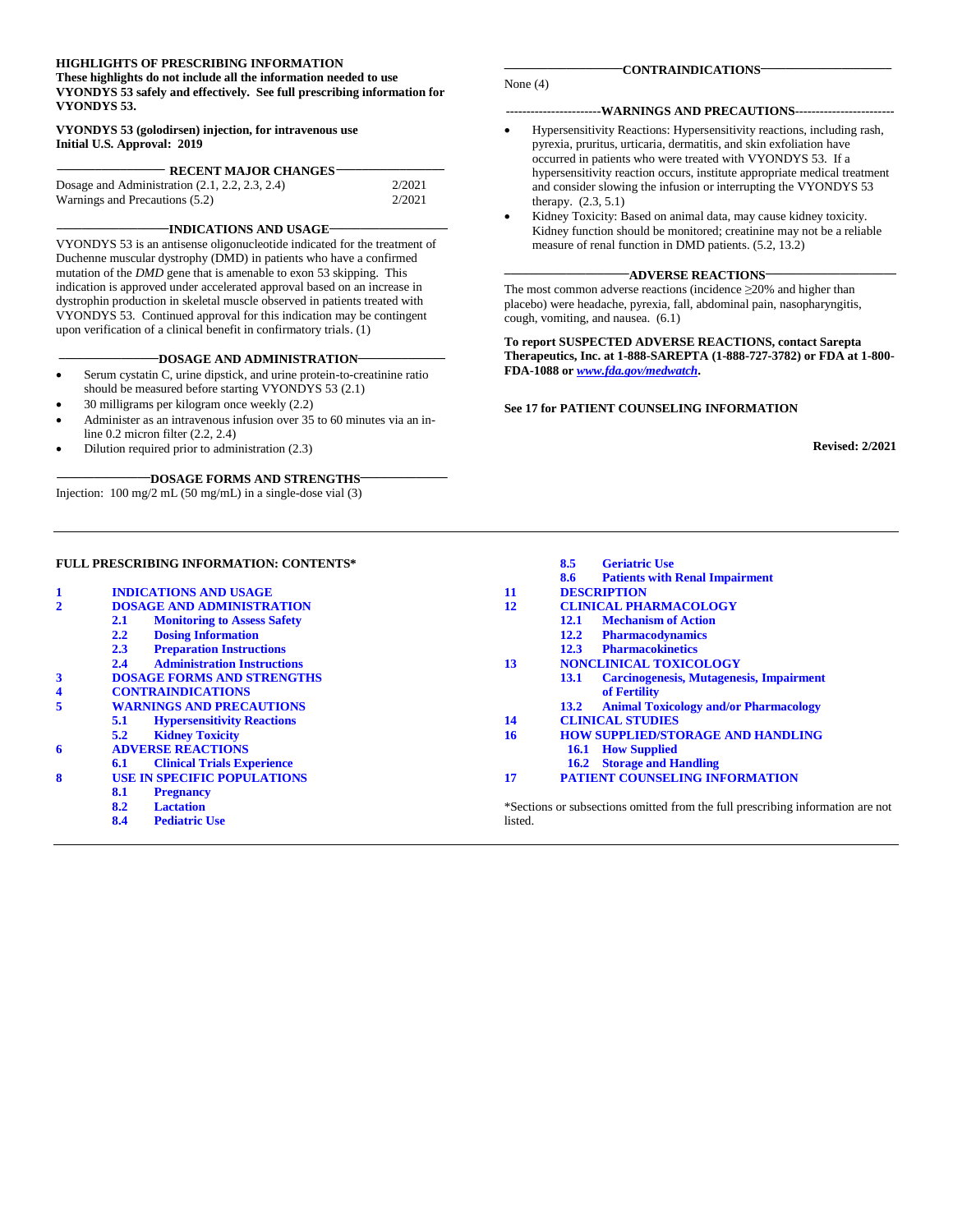#### **HIGHLIGHTS OF PRESCRIBING INFORMATION**

**These highlights do not include all the information needed to use VYONDYS 53 safely and effectively. See full prescribing information for VYONDYS 53.**

#### **VYONDYS 53 (golodirsen) injection, for intravenous use Initial U.S. Approval: 2019**

| <b>RECENT MAJOR CHANGES-</b>                     |        |
|--------------------------------------------------|--------|
| Dosage and Administration $(2.1, 2.2, 2.3, 2.4)$ | 2/2021 |
| Warnings and Precautions (5.2)                   | 2/2021 |

#### **\_\_\_\_\_\_\_\_\_\_\_\_\_\_\_\_\_\_INDICATIONS AND USAGE \_\_\_\_\_\_\_\_\_\_\_\_\_\_\_\_\_\_\_**

VYONDYS 53 is an antisense oligonucleotide indicated for the treatment of Duchenne muscular dystrophy (DMD) in patients who have a confirmed mutation of the *DMD* gene that is amenable to exon 53 skipping. This indication is approved under accelerated approval based on an increase in dystrophin production in skeletal muscle observed in patients treated with VYONDYS 53*.* Continued approval for this indication may be contingent upon verification of a clinical benefit in confirmatory trials. (1)

#### -DOSAGE AND ADMINISTRATION-

- Serum cystatin C, urine dipstick, and urine protein-to-creatinine ratio should be measured before starting VYONDYS 53 (2.1)
- 30 milligrams per kilogram once weekly (2.2) • Administer as an intravenous infusion over 35 to 60 minutes via an in-
- line 0.2 micron filter (2.2, 2.4)
- Dilution required prior to administration (2.3)

#### **\_\_\_\_\_\_\_\_\_\_\_\_\_\_\_DOSAGE FORMS AND STRENGTHS\_\_\_\_\_\_\_\_\_\_\_\_\_\_**

Injection: 100 mg/2 mL (50 mg/mL) in a single-dose vial (3)

#### None (4)

#### **-----------------------WARNINGS AND PRECAUTIONS------------------------**

- Hypersensitivity Reactions: Hypersensitivity reactions, including rash, pyrexia, pruritus, urticaria, dermatitis, and skin exfoliation have occurred in patients who were treated with VYONDYS 53. If a hypersensitivity reaction occurs, institute appropriate medical treatment and consider slowing the infusion or interrupting the VYONDYS 53 therapy. (2.3, 5.1)
- Kidney Toxicity: Based on animal data, may cause kidney toxicity. Kidney function should be monitored; creatinine may not be a reliable measure of renal function in DMD patients. (5.2, 13.2)

#### **\_\_\_\_\_\_\_\_\_\_\_\_\_\_\_\_\_\_\_\_ADVERSE REACTIONS\_\_\_\_\_\_\_\_\_\_\_\_\_\_\_\_\_\_\_\_\_**

The most common adverse reactions (incidence ≥20% and higher than placebo) were headache, pyrexia, fall, abdominal pain, nasopharyngitis, cough, vomiting, and nausea. (6.1)

**To report SUSPECTED ADVERSE REACTIONS, contact Sarepta Therapeutics, Inc. at 1-888-SAREPTA (1-888-727-3782) or FDA at 1-800- FDA-1088 or** *[www.fda.gov/medwatch](http://www.fda.gov/medwatch)***.**

#### **See 17 for PATIENT COUNSELING INFORMATION**

**8.5 [Geriatric Use](#page-5-4)**

**Revised: 2/2021**

#### **FULL PRESCRIBING INFORMATION: CONTENTS\***

|                         |                                           |         | 8.6<br><b>Patients with Renal Impairment</b>                                   |
|-------------------------|-------------------------------------------|---------|--------------------------------------------------------------------------------|
| $\mathbf{1}$            | <b>INDICATIONS AND USAGE</b>              | 11      | <b>DESCRIPTION</b>                                                             |
| $\mathbf{2}$            | <b>DOSAGE AND ADMINISTRATION</b>          | 12      | <b>CLINICAL PHARMACOLOGY</b>                                                   |
|                         | <b>Monitoring to Assess Safety</b><br>2.1 |         | <b>Mechanism of Action</b><br>12.1                                             |
|                         | <b>Dosing Information</b><br>2.2          |         | <b>Pharmacodynamics</b><br>12.2                                                |
|                         | <b>Preparation Instructions</b><br>2.3    |         | <b>Pharmacokinetics</b><br>12.3                                                |
|                         | <b>Administration Instructions</b><br>2.4 | 13      | <b>NONCLINICAL TOXICOLOGY</b>                                                  |
| 3                       | <b>DOSAGE FORMS AND STRENGTHS</b>         |         | <b>Carcinogenesis, Mutagenesis, Impairment</b><br><b>13.1</b>                  |
| $\overline{\mathbf{4}}$ | <b>CONTRAINDICATIONS</b>                  |         | of Fertility                                                                   |
| 5                       | <b>WARNINGS AND PRECAUTIONS</b>           |         | <b>Animal Toxicology and/or Pharmacology</b><br>13.2                           |
|                         | <b>Hypersensitivity Reactions</b><br>5.1  | 14      | <b>CLINICAL STUDIES</b>                                                        |
|                         | 5.2<br><b>Kidney Toxicity</b>             | 16      | <b>HOW SUPPLIED/STORAGE AND HANDLING</b>                                       |
| 6                       | <b>ADVERSE REACTIONS</b>                  |         | <b>How Supplied</b><br>16.1                                                    |
|                         | <b>Clinical Trials Experience</b><br>6.1  |         | <b>16.2</b> Storage and Handling                                               |
| 8                       | <b>USE IN SPECIFIC POPULATIONS</b>        | 17      | <b>PATIENT COUNSELING INFORMATION</b>                                          |
|                         | 8.1<br><b>Pregnancy</b>                   |         |                                                                                |
|                         | 8.2<br><b>Lactation</b>                   |         | *Sections or subsections omitted from the full prescribing information are not |
|                         | 8.4<br><b>Pediatric Use</b>               | listed. |                                                                                |
|                         |                                           |         |                                                                                |

**\_\_\_\_\_\_\_\_\_\_\_\_\_\_\_\_\_\_\_CONTRAINDICATIONS\_\_\_\_\_\_\_\_\_\_\_\_\_\_\_\_\_\_\_\_\_**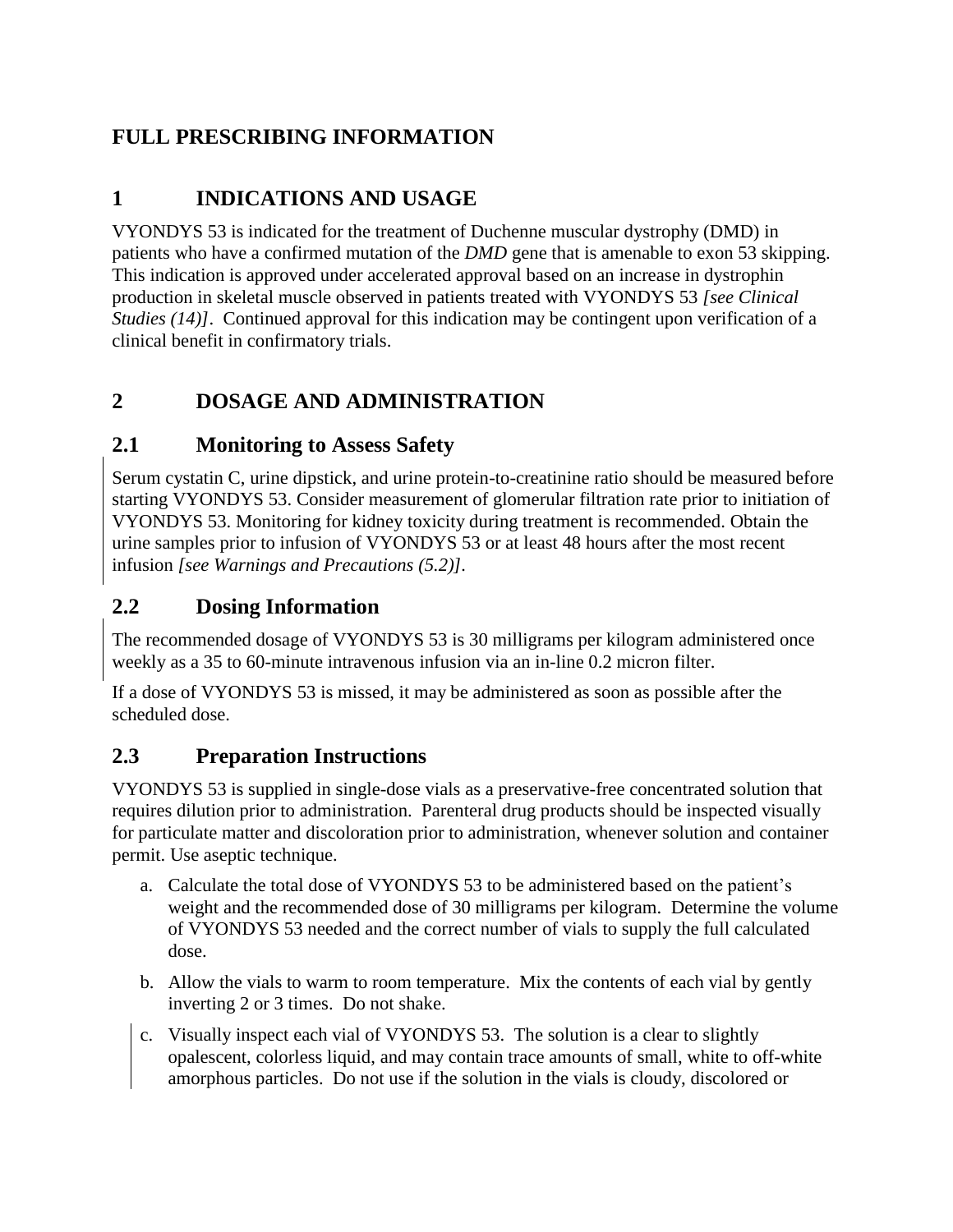## **FULL PRESCRIBING INFORMATION**

## <span id="page-1-0"></span>**1 INDICATIONS AND USAGE**

VYONDYS 53 is indicated for the treatment of Duchenne muscular dystrophy (DMD) in patients who have a confirmed mutation of the *DMD* gene that is amenable to exon 53 skipping. This indication is approved under accelerated approval based on an increase in dystrophin production in skeletal muscle observed in patients treated with VYONDYS 53 *[see Clinical Studies (14)]*. Continued approval for this indication may be contingent upon verification of a clinical benefit in confirmatory trials.

## <span id="page-1-1"></span>**2 DOSAGE AND ADMINISTRATION**

### <span id="page-1-2"></span>**2.1 Monitoring to Assess Safety**

Serum cystatin C, urine dipstick, and urine protein-to-creatinine ratio should be measured before starting VYONDYS 53. Consider measurement of glomerular filtration rate prior to initiation of VYONDYS 53. Monitoring for kidney toxicity during treatment is recommended. Obtain the urine samples prior to infusion of VYONDYS 53 or at least 48 hours after the most recent infusion *[see Warnings and Precautions (5.2)].*

### <span id="page-1-3"></span>**2.2 Dosing Information**

The recommended dosage of VYONDYS 53 is 30 milligrams per kilogram administered once weekly as a 35 to 60-minute intravenous infusion via an in-line 0.2 micron filter.

If a dose of VYONDYS 53 is missed, it may be administered as soon as possible after the scheduled dose.

### <span id="page-1-4"></span>**2.3 Preparation Instructions**

VYONDYS 53 is supplied in single-dose vials as a preservative-free concentrated solution that requires dilution prior to administration. Parenteral drug products should be inspected visually for particulate matter and discoloration prior to administration, whenever solution and container permit. Use aseptic technique.

- a. Calculate the total dose of VYONDYS 53 to be administered based on the patient's weight and the recommended dose of 30 milligrams per kilogram. Determine the volume of VYONDYS 53 needed and the correct number of vials to supply the full calculated dose.
- b. Allow the vials to warm to room temperature. Mix the contents of each vial by gently inverting 2 or 3 times. Do not shake.
- c. Visually inspect each vial of VYONDYS 53. The solution is a clear to slightly opalescent, colorless liquid, and may contain trace amounts of small, white to off-white amorphous particles. Do not use if the solution in the vials is cloudy, discolored or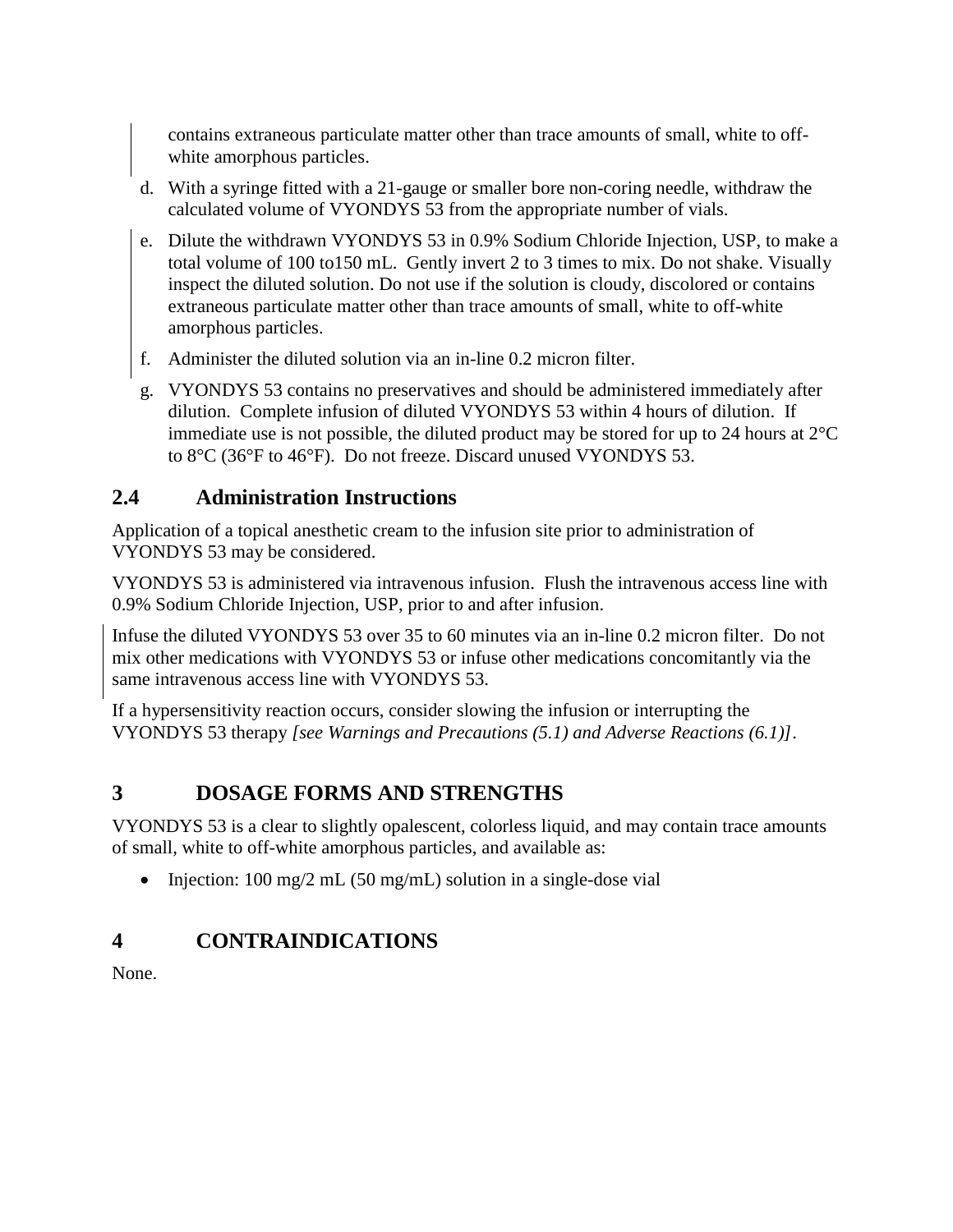contains extraneous particulate matter other than trace amounts of small, white to offwhite amorphous particles.

- d. With a syringe fitted with a 21-gauge or smaller bore non-coring needle, withdraw the calculated volume of VYONDYS 53 from the appropriate number of vials.
- e. Dilute the withdrawn VYONDYS 53 in 0.9% Sodium Chloride Injection, USP, to make a total volume of 100 to150 mL. Gently invert 2 to 3 times to mix. Do not shake. Visually inspect the diluted solution. Do not use if the solution is cloudy, discolored or contains extraneous particulate matter other than trace amounts of small, white to off-white amorphous particles.
- f. Administer the diluted solution via an in-line 0.2 micron filter.
- g. VYONDYS 53 contains no preservatives and should be administered immediately after dilution. Complete infusion of diluted VYONDYS 53 within 4 hours of dilution. If immediate use is not possible, the diluted product may be stored for up to 24 hours at  $2^{\circ}C$ to 8°C (36°F to 46°F). Do not freeze. Discard unused VYONDYS 53.

### <span id="page-2-0"></span>**2.4 Administration Instructions**

Application of a topical anesthetic cream to the infusion site prior to administration of VYONDYS 53 may be considered.

VYONDYS 53 is administered via intravenous infusion. Flush the intravenous access line with 0.9% Sodium Chloride Injection, USP, prior to and after infusion.

Infuse the diluted VYONDYS 53 over 35 to 60 minutes via an in-line 0.2 micron filter. Do not mix other medications with VYONDYS 53 or infuse other medications concomitantly via the same intravenous access line with VYONDYS 53.

If a hypersensitivity reaction occurs, consider slowing the infusion or interrupting the VYONDYS 53 therapy *[see Warnings and Precautions (5.1) and Adverse Reactions (6.1)]*.

## <span id="page-2-1"></span>**3 DOSAGE FORMS AND STRENGTHS**

VYONDYS 53 is a clear to slightly opalescent, colorless liquid, and may contain trace amounts of small, white to off-white amorphous particles, and available as:

• Injection: 100 mg/2 mL (50 mg/mL) solution in a single-dose vial

## <span id="page-2-2"></span>**4 CONTRAINDICATIONS**

None.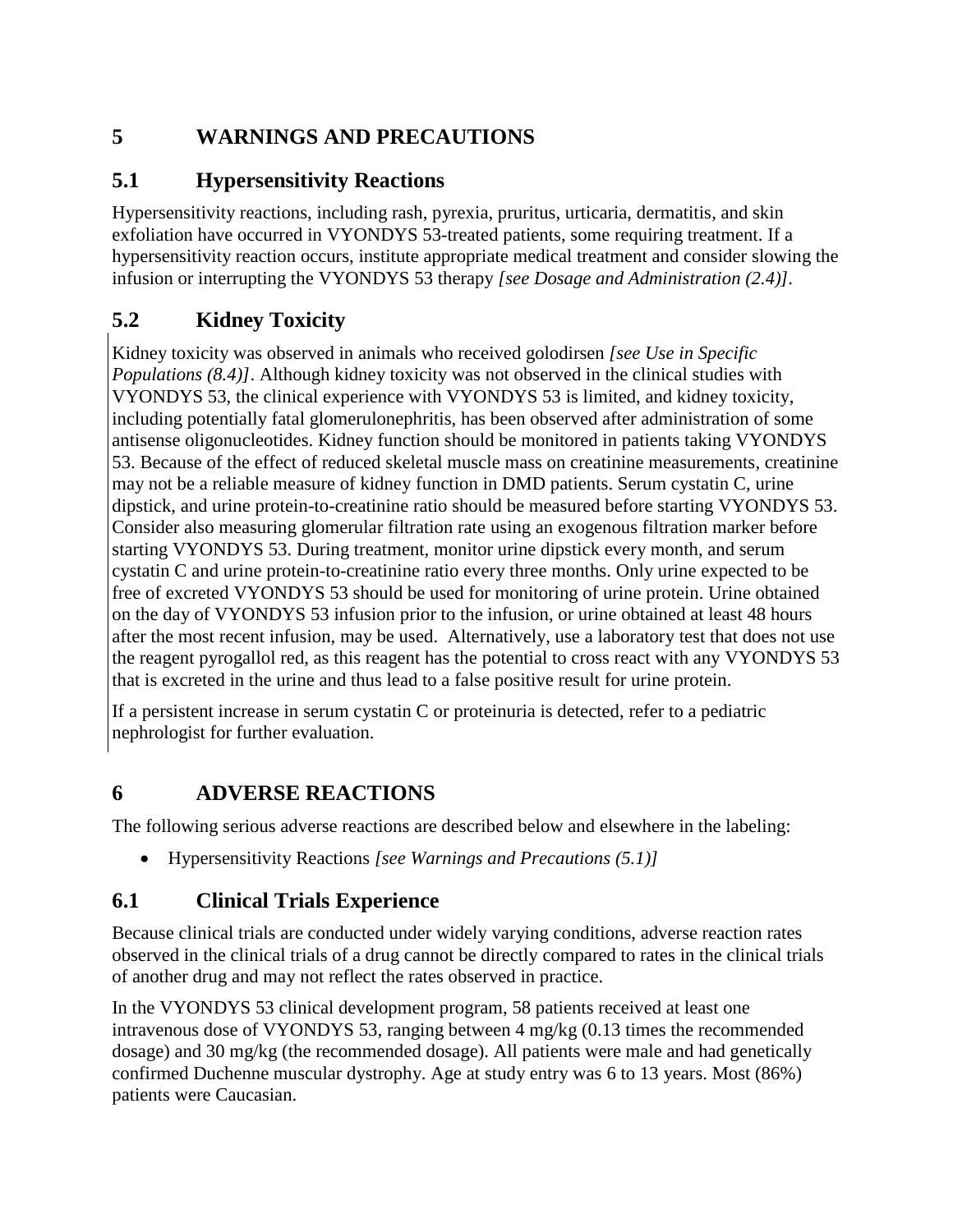## <span id="page-3-0"></span>**5 WARNINGS AND PRECAUTIONS**

### <span id="page-3-1"></span>**5.1 Hypersensitivity Reactions**

Hypersensitivity reactions, including rash, pyrexia, pruritus, urticaria, dermatitis, and skin exfoliation have occurred in VYONDYS 53-treated patients, some requiring treatment. If a hypersensitivity reaction occurs, institute appropriate medical treatment and consider slowing the infusion or interrupting the VYONDYS 53 therapy *[see Dosage and Administration (2.4)].*

## <span id="page-3-2"></span>**5.2 Kidney Toxicity**

Kidney toxicity was observed in animals who received golodirsen *[see Use in Specific Populations (8.4)]*. Although kidney toxicity was not observed in the clinical studies with VYONDYS 53, the clinical experience with VYONDYS 53 is limited, and kidney toxicity, including potentially fatal glomerulonephritis, has been observed after administration of some antisense oligonucleotides. Kidney function should be monitored in patients taking VYONDYS 53. Because of the effect of reduced skeletal muscle mass on creatinine measurements, creatinine may not be a reliable measure of kidney function in DMD patients. Serum cystatin C, urine dipstick, and urine protein-to-creatinine ratio should be measured before starting VYONDYS 53. Consider also measuring glomerular filtration rate using an exogenous filtration marker before starting VYONDYS 53. During treatment, monitor urine dipstick every month, and serum cystatin C and urine protein-to-creatinine ratio every three months. Only urine expected to be free of excreted VYONDYS 53 should be used for monitoring of urine protein. Urine obtained on the day of VYONDYS 53 infusion prior to the infusion, or urine obtained at least 48 hours after the most recent infusion, may be used. Alternatively, use a laboratory test that does not use the reagent pyrogallol red, as this reagent has the potential to cross react with any VYONDYS 53 that is excreted in the urine and thus lead to a false positive result for urine protein.

If a persistent increase in serum cystatin C or proteinuria is detected, refer to a pediatric nephrologist for further evaluation.

## <span id="page-3-3"></span>**6 ADVERSE REACTIONS**

The following serious adverse reactions are described below and elsewhere in the labeling:

• Hypersensitivity Reactions *[see Warnings and Precautions (5.1)]*

## <span id="page-3-4"></span>**6.1 Clinical Trials Experience**

Because clinical trials are conducted under widely varying conditions, adverse reaction rates observed in the clinical trials of a drug cannot be directly compared to rates in the clinical trials of another drug and may not reflect the rates observed in practice.

In the VYONDYS 53 clinical development program, 58 patients received at least one intravenous dose of VYONDYS 53, ranging between 4 mg/kg (0.13 times the recommended dosage) and 30 mg/kg (the recommended dosage). All patients were male and had genetically confirmed Duchenne muscular dystrophy. Age at study entry was 6 to 13 years. Most (86%) patients were Caucasian.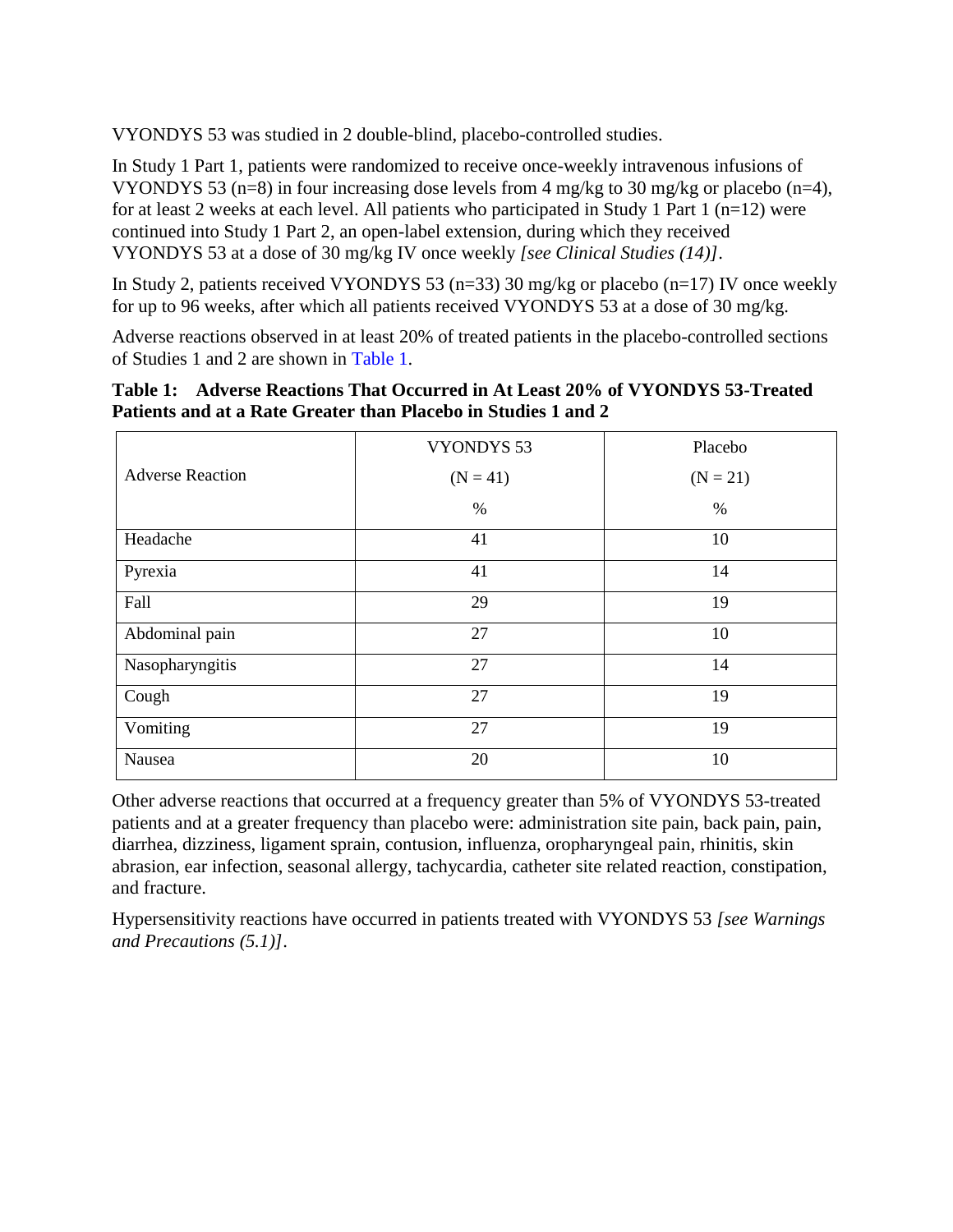VYONDYS 53 was studied in 2 double-blind, placebo-controlled studies.

In Study 1 Part 1, patients were randomized to receive once-weekly intravenous infusions of VYONDYS 53 (n=8) in four increasing dose levels from 4 mg/kg to 30 mg/kg or placebo (n=4), for at least 2 weeks at each level. All patients who participated in Study 1 Part 1 ( $n=12$ ) were continued into Study 1 Part 2, an open-label extension, during which they received VYONDYS 53 at a dose of 30 mg/kg IV once weekly *[see Clinical Studies (14)]*.

In Study 2, patients received VYONDYS 53 (n=33) 30 mg/kg or placebo (n=17) IV once weekly for up to 96 weeks, after which all patients received VYONDYS 53 at a dose of 30 mg/kg.

Adverse reactions observed in at least 20% of treated patients in the placebo-controlled sections of Studies 1 and 2 are shown in [Table](#page-4-0) 1.

<span id="page-4-0"></span>

|                                                                |  | Table 1: Adverse Reactions That Occurred in At Least 20% of VYONDYS 53-Treated |
|----------------------------------------------------------------|--|--------------------------------------------------------------------------------|
| Patients and at a Rate Greater than Placebo in Studies 1 and 2 |  |                                                                                |

|                         | <b>VYONDYS 53</b> | Placebo    |  |
|-------------------------|-------------------|------------|--|
| <b>Adverse Reaction</b> | $(N = 41)$        | $(N = 21)$ |  |
|                         | $\%$              | $\%$       |  |
| Headache                | 41                | 10         |  |
| Pyrexia                 | 41                | 14         |  |
| Fall                    | 29                | 19         |  |
| Abdominal pain          | 27                | 10         |  |
| Nasopharyngitis         | 27                | 14         |  |
| Cough                   | 27                | 19         |  |
| Vomiting                | 27                | 19         |  |
| Nausea                  | 20                | 10         |  |

Other adverse reactions that occurred at a frequency greater than 5% of VYONDYS 53-treated patients and at a greater frequency than placebo were: administration site pain, back pain, pain, diarrhea, dizziness, ligament sprain, contusion, influenza, oropharyngeal pain, rhinitis, skin abrasion, ear infection, seasonal allergy, tachycardia, catheter site related reaction, constipation, and fracture.

Hypersensitivity reactions have occurred in patients treated with VYONDYS 53 *[see Warnings and Precautions (5.1)]*.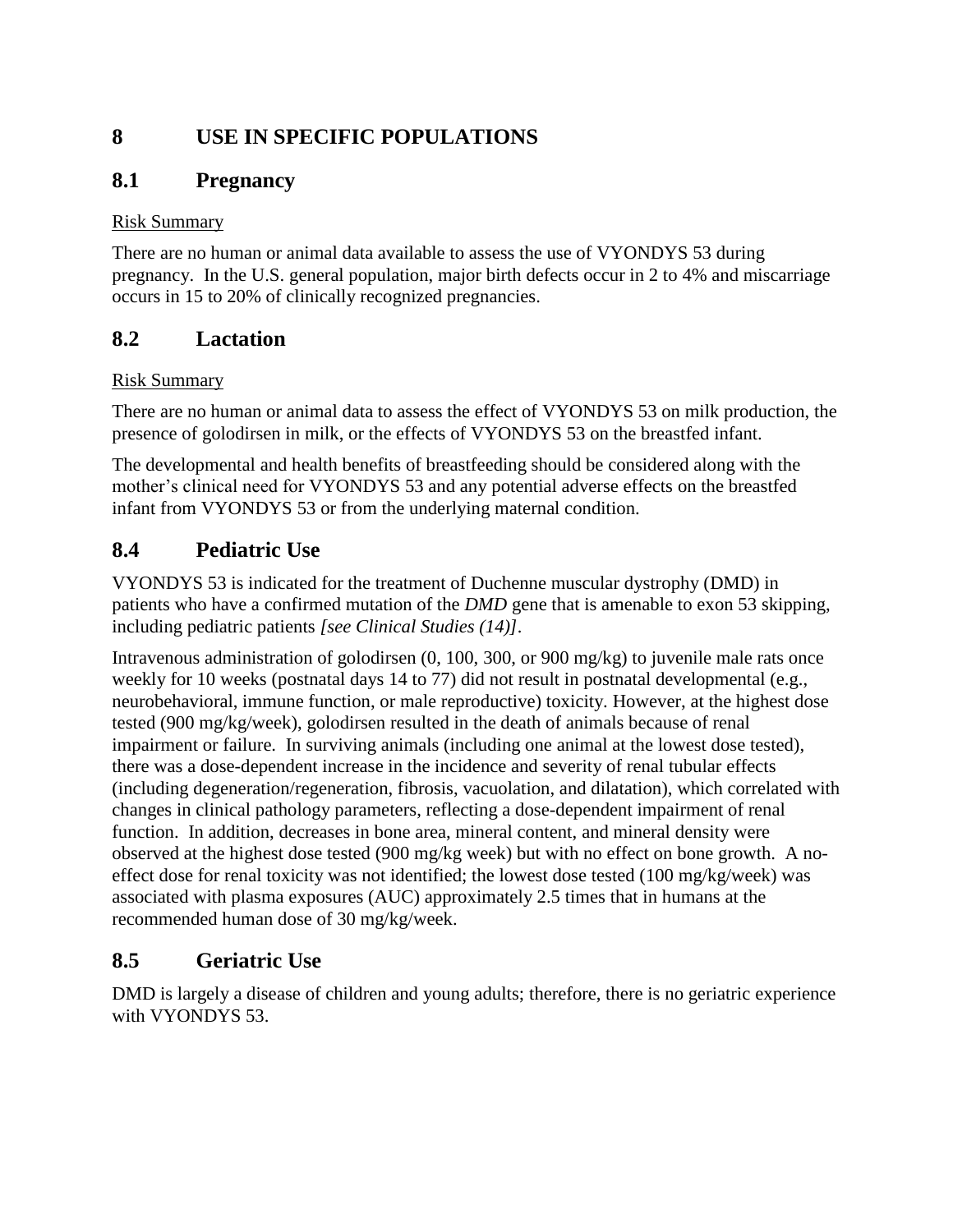## <span id="page-5-0"></span>**8 USE IN SPECIFIC POPULATIONS**

### <span id="page-5-1"></span>**8.1 Pregnancy**

#### Risk Summary

There are no human or animal data available to assess the use of VYONDYS 53 during pregnancy. In the U.S. general population, major birth defects occur in 2 to 4% and miscarriage occurs in 15 to 20% of clinically recognized pregnancies.

## <span id="page-5-2"></span>**8.2 Lactation**

#### Risk Summary

There are no human or animal data to assess the effect of VYONDYS 53 on milk production, the presence of golodirsen in milk, or the effects of VYONDYS 53 on the breastfed infant.

The developmental and health benefits of breastfeeding should be considered along with the mother's clinical need for VYONDYS 53 and any potential adverse effects on the breastfed infant from VYONDYS 53 or from the underlying maternal condition.

## <span id="page-5-3"></span>**8.4 Pediatric Use**

VYONDYS 53 is indicated for the treatment of Duchenne muscular dystrophy (DMD) in patients who have a confirmed mutation of the *DMD* gene that is amenable to exon 53 skipping, including pediatric patients *[see Clinical Studies (14)].*

Intravenous administration of golodirsen (0, 100, 300, or 900 mg/kg) to juvenile male rats once weekly for 10 weeks (postnatal days 14 to 77) did not result in postnatal developmental (e.g., neurobehavioral, immune function, or male reproductive) toxicity. However, at the highest dose tested (900 mg/kg/week), golodirsen resulted in the death of animals because of renal impairment or failure. In surviving animals (including one animal at the lowest dose tested), there was a dose-dependent increase in the incidence and severity of renal tubular effects (including degeneration/regeneration, fibrosis, vacuolation, and dilatation), which correlated with changes in clinical pathology parameters, reflecting a dose-dependent impairment of renal function. In addition, decreases in bone area, mineral content, and mineral density were observed at the highest dose tested (900 mg/kg week) but with no effect on bone growth. A noeffect dose for renal toxicity was not identified; the lowest dose tested (100 mg/kg/week) was associated with plasma exposures (AUC) approximately 2.5 times that in humans at the recommended human dose of 30 mg/kg/week.

## <span id="page-5-4"></span>**8.5 Geriatric Use**

DMD is largely a disease of children and young adults; therefore, there is no geriatric experience with VYONDYS 53.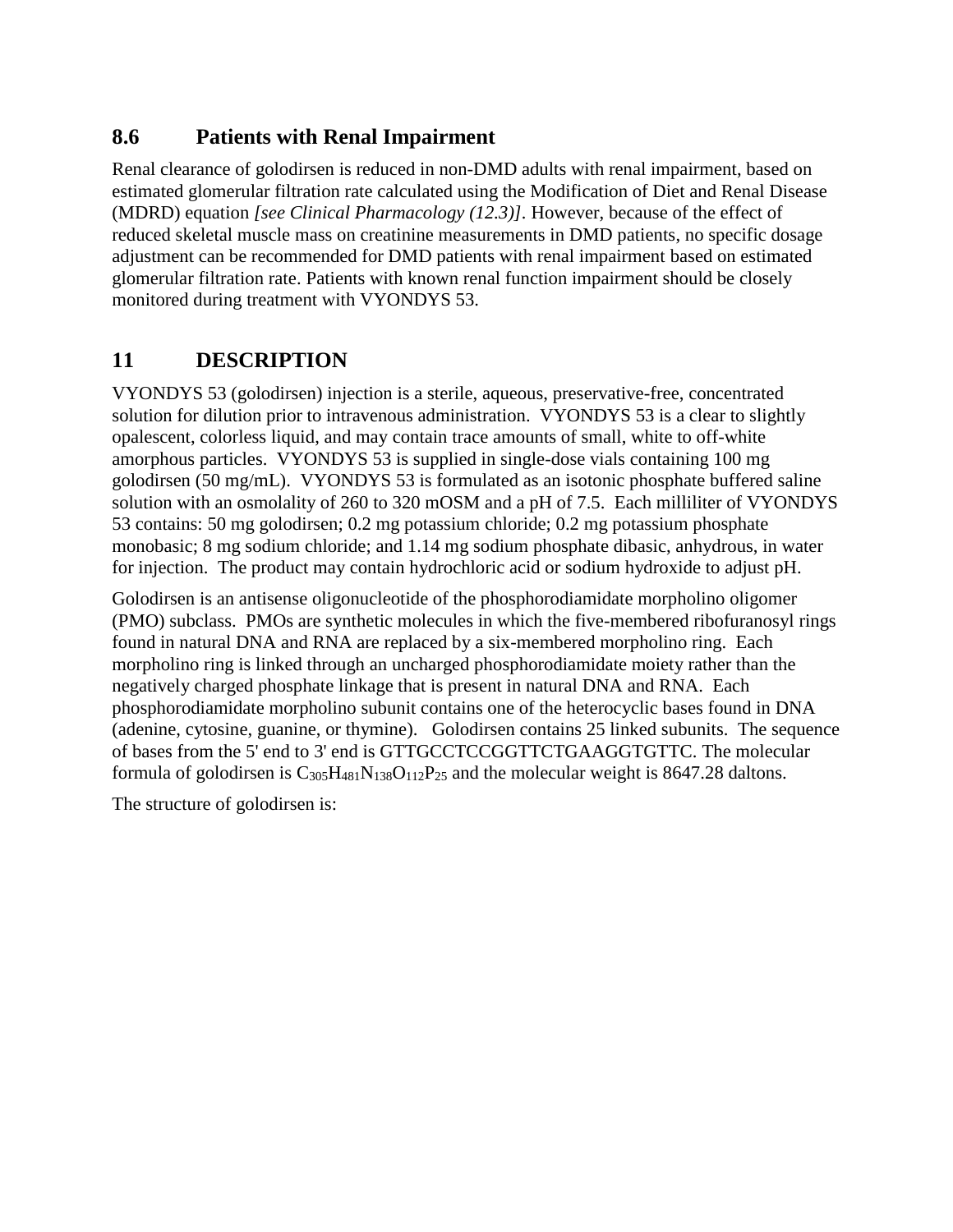### <span id="page-6-0"></span>**8.6 Patients with Renal Impairment**

Renal clearance of golodirsen is reduced in non-DMD adults with renal impairment, based on estimated glomerular filtration rate calculated using the Modification of Diet and Renal Disease (MDRD) equation *[see Clinical Pharmacology (12.3)].* However, because of the effect of reduced skeletal muscle mass on creatinine measurements in DMD patients, no specific dosage adjustment can be recommended for DMD patients with renal impairment based on estimated glomerular filtration rate. Patients with known renal function impairment should be closely monitored during treatment with VYONDYS 53.

## <span id="page-6-1"></span>**11 DESCRIPTION**

VYONDYS 53 (golodirsen) injection is a sterile, aqueous, preservative-free, concentrated solution for dilution prior to intravenous administration. VYONDYS 53 is a clear to slightly opalescent, colorless liquid, and may contain trace amounts of small, white to off-white amorphous particles. VYONDYS 53 is supplied in single-dose vials containing 100 mg golodirsen (50 mg/mL). VYONDYS 53 is formulated as an isotonic phosphate buffered saline solution with an osmolality of 260 to 320 mOSM and a pH of 7.5. Each milliliter of VYONDYS 53 contains: 50 mg golodirsen; 0.2 mg potassium chloride; 0.2 mg potassium phosphate monobasic; 8 mg sodium chloride; and 1.14 mg sodium phosphate dibasic, anhydrous, in water for injection. The product may contain hydrochloric acid or sodium hydroxide to adjust pH.

Golodirsen is an antisense oligonucleotide of the phosphorodiamidate morpholino oligomer (PMO) subclass. PMOs are synthetic molecules in which the five-membered ribofuranosyl rings found in natural DNA and RNA are replaced by a six-membered morpholino ring. Each morpholino ring is linked through an uncharged phosphorodiamidate moiety rather than the negatively charged phosphate linkage that is present in natural DNA and RNA. Each phosphorodiamidate morpholino subunit contains one of the heterocyclic bases found in DNA (adenine, cytosine, guanine, or thymine). Golodirsen contains 25 linked subunits. The sequence of bases from the 5' end to 3' end is GTTGCCTCCGGTTCTGAAGGTGTTC. The molecular formula of golodirsen is  $C_{305}H_{481}N_{138}O_{112}P_{25}$  and the molecular weight is 8647.28 daltons.

The structure of golodirsen is: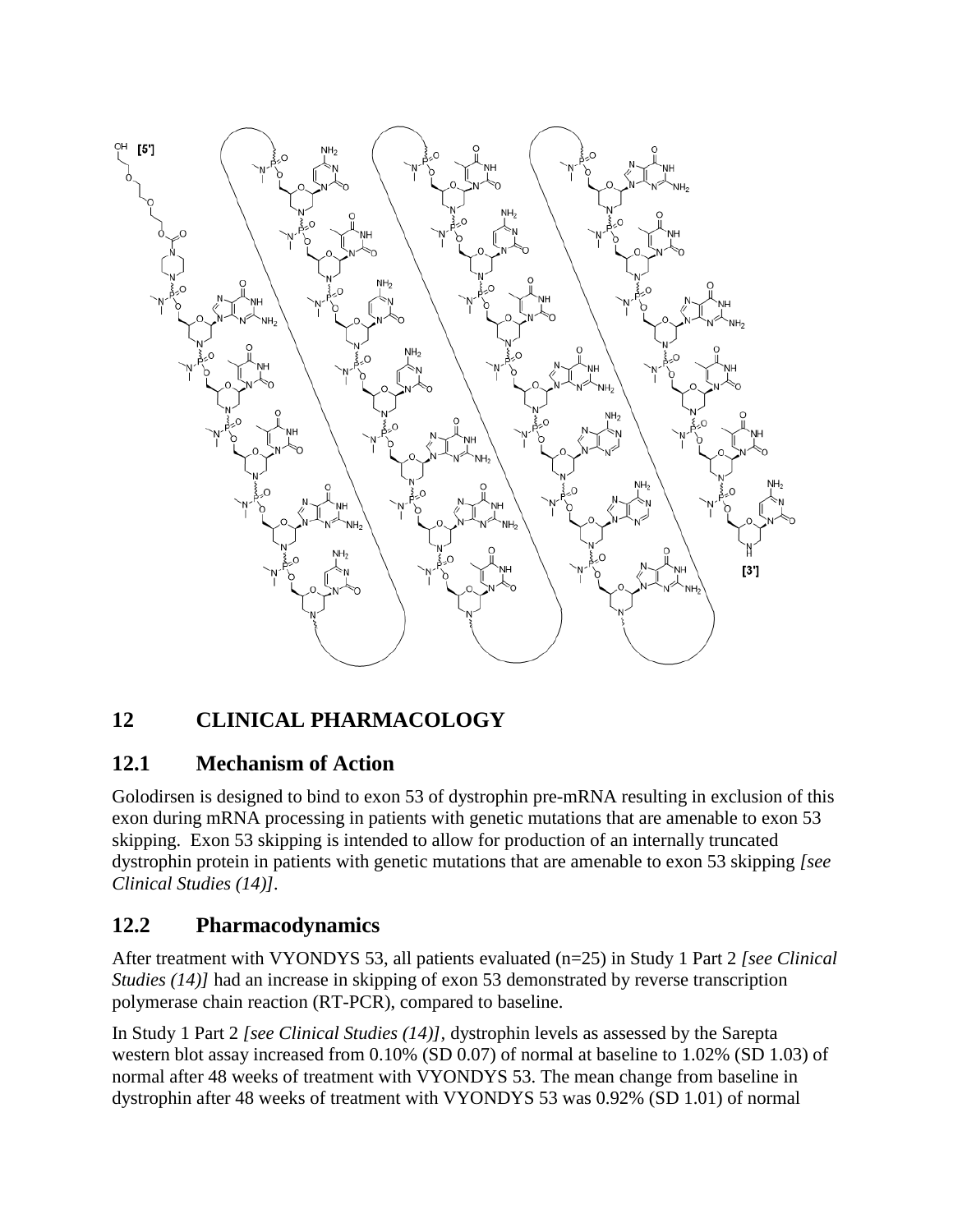

# <span id="page-7-0"></span>**12 CLINICAL PHARMACOLOGY**

### <span id="page-7-1"></span>**12.1 Mechanism of Action**

Golodirsen is designed to bind to exon 53 of dystrophin pre-mRNA resulting in exclusion of this exon during mRNA processing in patients with genetic mutations that are amenable to exon 53 skipping. Exon 53 skipping is intended to allow for production of an internally truncated dystrophin protein in patients with genetic mutations that are amenable to exon 53 skipping *[see Clinical Studies (14)].*

## <span id="page-7-2"></span>**12.2 Pharmacodynamics**

After treatment with VYONDYS 53, all patients evaluated (n=25) in Study 1 Part 2 *[see Clinical Studies (14)]* had an increase in skipping of exon 53 demonstrated by reverse transcription polymerase chain reaction (RT-PCR), compared to baseline.

In Study 1 Part 2 *[see Clinical Studies (14)],* dystrophin levels as assessed by the Sarepta western blot assay increased from 0.10% (SD 0.07) of normal at baseline to 1.02% (SD 1.03) of normal after 48 weeks of treatment with VYONDYS 53. The mean change from baseline in dystrophin after 48 weeks of treatment with VYONDYS 53 was 0.92% (SD 1.01) of normal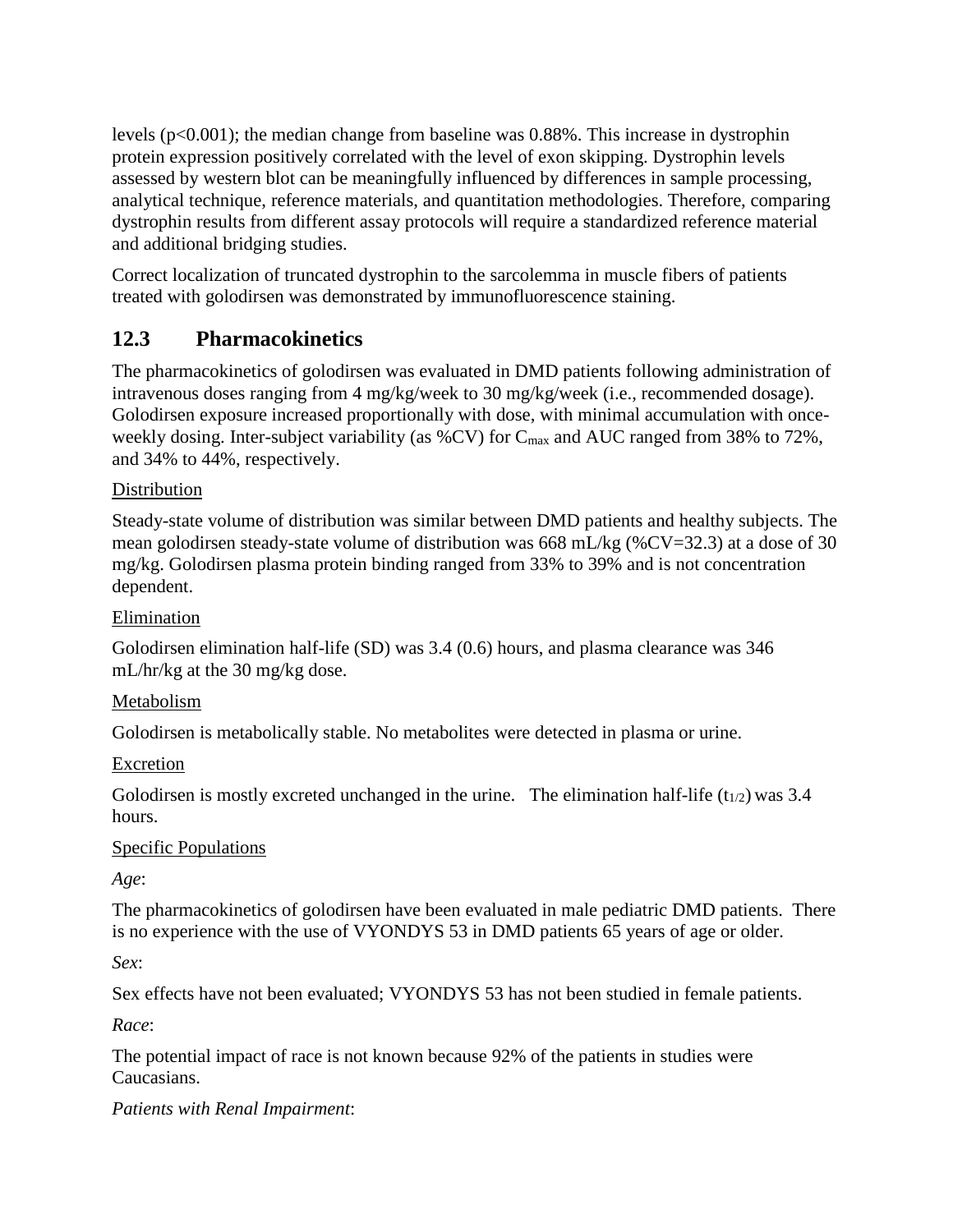levels (p<0.001); the median change from baseline was 0.88%. This increase in dystrophin protein expression positively correlated with the level of exon skipping. Dystrophin levels assessed by western blot can be meaningfully influenced by differences in sample processing, analytical technique, reference materials, and quantitation methodologies. Therefore, comparing dystrophin results from different assay protocols will require a standardized reference material and additional bridging studies.

Correct localization of truncated dystrophin to the sarcolemma in muscle fibers of patients treated with golodirsen was demonstrated by immunofluorescence staining.

## <span id="page-8-0"></span>**12.3 Pharmacokinetics**

The pharmacokinetics of golodirsen was evaluated in DMD patients following administration of intravenous doses ranging from 4 mg/kg/week to 30 mg/kg/week (i.e., recommended dosage). Golodirsen exposure increased proportionally with dose, with minimal accumulation with onceweekly dosing. Inter-subject variability (as  $\%$ CV) for C<sub>max</sub> and AUC ranged from 38% to 72%, and 34% to 44%, respectively.

#### Distribution

Steady-state volume of distribution was similar between DMD patients and healthy subjects. The mean golodirsen steady-state volume of distribution was 668 mL/kg (%CV=32.3) at a dose of 30 mg/kg. Golodirsen plasma protein binding ranged from 33% to 39% and is not concentration dependent.

#### Elimination

Golodirsen elimination half-life (SD) was 3.4 (0.6) hours, and plasma clearance was 346 mL/hr/kg at the 30 mg/kg dose.

#### Metabolism

Golodirsen is metabolically stable. No metabolites were detected in plasma or urine.

#### Excretion

Golodirsen is mostly excreted unchanged in the urine. The elimination half-life  $(t_{1/2})$  was 3.4 hours.

#### Specific Populations

*Age*:

The pharmacokinetics of golodirsen have been evaluated in male pediatric DMD patients. There is no experience with the use of VYONDYS 53 in DMD patients 65 years of age or older.

*Sex*:

Sex effects have not been evaluated; VYONDYS 53 has not been studied in female patients.

*Race*:

The potential impact of race is not known because 92% of the patients in studies were Caucasians.

#### *Patients with Renal Impairment*: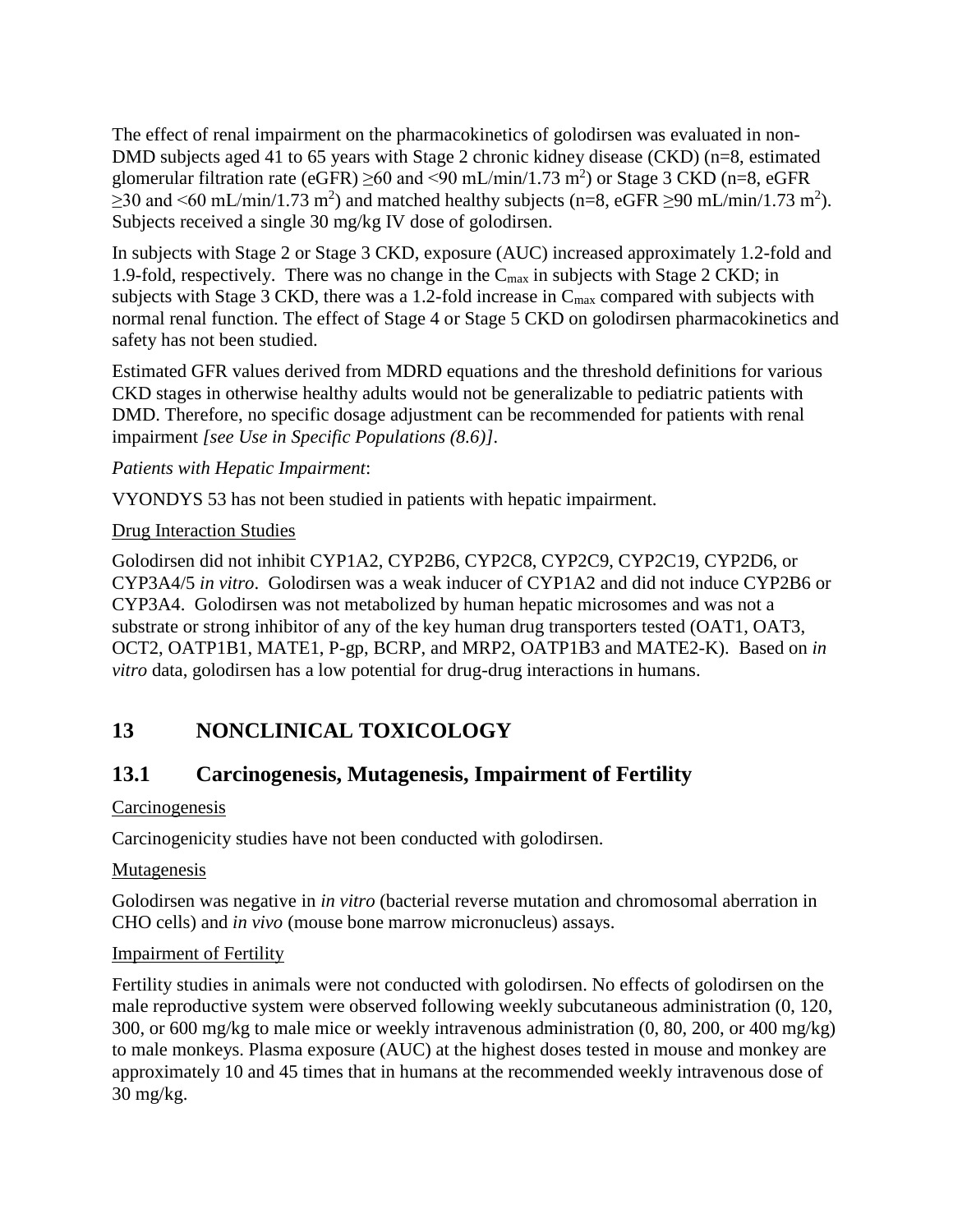The effect of renal impairment on the pharmacokinetics of golodirsen was evaluated in non-DMD subjects aged 41 to 65 years with Stage 2 chronic kidney disease (CKD) (n=8, estimated glomerular filtration rate (eGFR)  $\geq$ 60 and <90 mL/min/1.73 m<sup>2</sup>) or Stage 3 CKD (n=8, eGFR  $\geq$ 30 and <60 mL/min/1.73 m<sup>2</sup>) and matched healthy subjects (n=8, eGFR  $\geq$ 90 mL/min/1.73 m<sup>2</sup>). Subjects received a single 30 mg/kg IV dose of golodirsen.

In subjects with Stage 2 or Stage 3 CKD, exposure (AUC) increased approximately 1.2-fold and 1.9-fold, respectively. There was no change in the  $C_{\text{max}}$  in subjects with Stage 2 CKD; in subjects with Stage 3 CKD, there was a 1.2-fold increase in  $C_{\text{max}}$  compared with subjects with normal renal function. The effect of Stage 4 or Stage 5 CKD on golodirsen pharmacokinetics and safety has not been studied.

Estimated GFR values derived from MDRD equations and the threshold definitions for various CKD stages in otherwise healthy adults would not be generalizable to pediatric patients with DMD. Therefore, no specific dosage adjustment can be recommended for patients with renal impairment *[see Use in Specific Populations (8.6)].*

#### *Patients with Hepatic Impairment*:

VYONDYS 53 has not been studied in patients with hepatic impairment.

#### Drug Interaction Studies

Golodirsen did not inhibit CYP1A2, CYP2B6, CYP2C8, CYP2C9, CYP2C19, CYP2D6, or CYP3A4/5 *in vitro*. Golodirsen was a weak inducer of CYP1A2 and did not induce CYP2B6 or CYP3A4. Golodirsen was not metabolized by human hepatic microsomes and was not a substrate or strong inhibitor of any of the key human drug transporters tested (OAT1, OAT3, OCT2, OATP1B1, MATE1, P-gp, BCRP, and MRP2, OATP1B3 and MATE2-K). Based on *in vitro* data, golodirsen has a low potential for drug-drug interactions in humans.

## <span id="page-9-0"></span>**13 NONCLINICAL TOXICOLOGY**

### <span id="page-9-1"></span>**13.1 Carcinogenesis, Mutagenesis, Impairment of Fertility**

#### **Carcinogenesis**

Carcinogenicity studies have not been conducted with golodirsen.

#### Mutagenesis

Golodirsen was negative in *in vitro* (bacterial reverse mutation and chromosomal aberration in CHO cells) and *in vivo* (mouse bone marrow micronucleus) assays.

#### Impairment of Fertility

Fertility studies in animals were not conducted with golodirsen. No effects of golodirsen on the male reproductive system were observed following weekly subcutaneous administration (0, 120, 300, or 600 mg/kg to male mice or weekly intravenous administration (0, 80, 200, or 400 mg/kg) to male monkeys. Plasma exposure (AUC) at the highest doses tested in mouse and monkey are approximately 10 and 45 times that in humans at the recommended weekly intravenous dose of 30 mg/kg.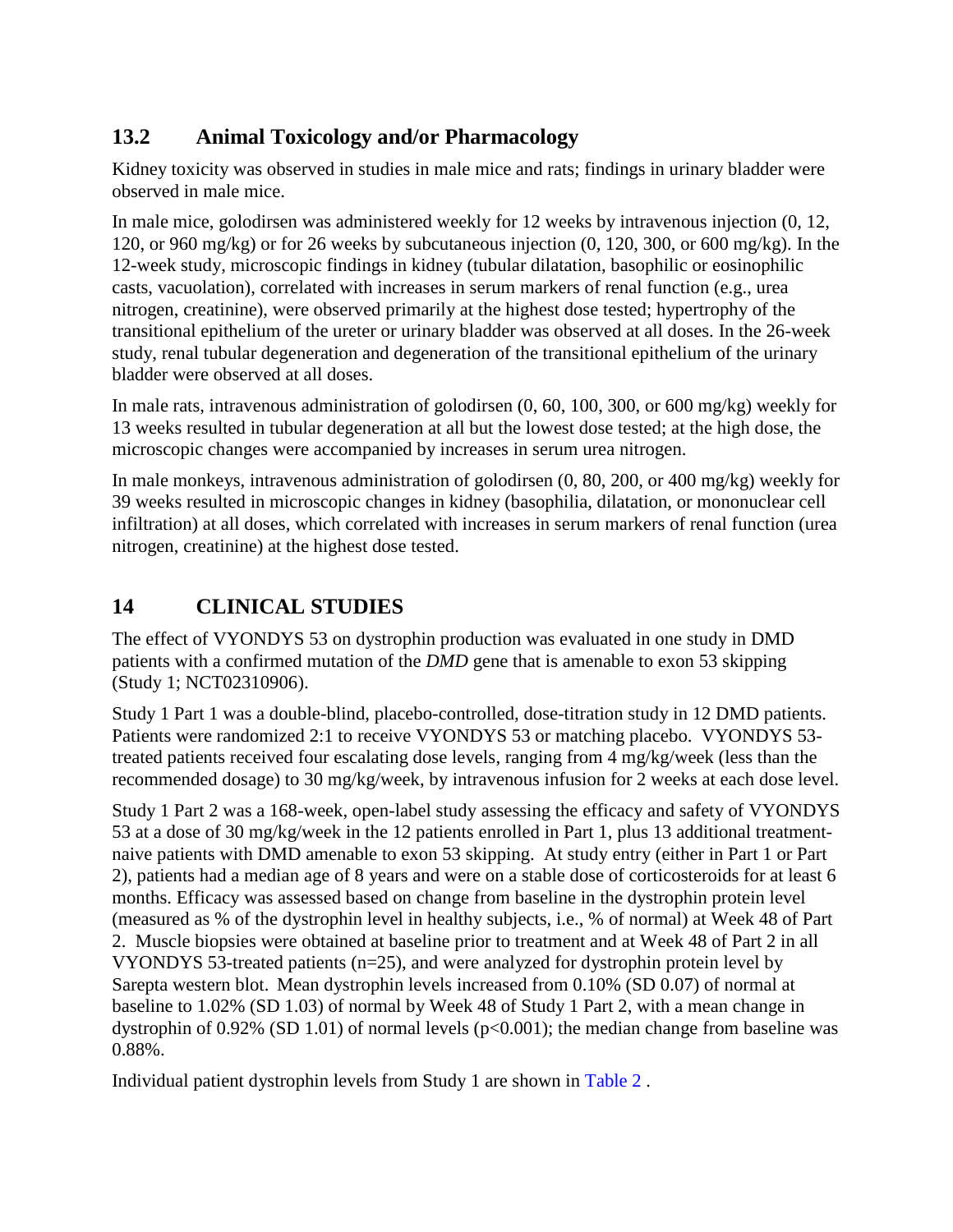## <span id="page-10-0"></span>**13.2 Animal Toxicology and/or Pharmacology**

Kidney toxicity was observed in studies in male mice and rats; findings in urinary bladder were observed in male mice.

In male mice, golodirsen was administered weekly for 12 weeks by intravenous injection (0, 12, 120, or 960 mg/kg) or for 26 weeks by subcutaneous injection (0, 120, 300, or 600 mg/kg). In the 12-week study, microscopic findings in kidney (tubular dilatation, basophilic or eosinophilic casts, vacuolation), correlated with increases in serum markers of renal function (e.g., urea nitrogen, creatinine), were observed primarily at the highest dose tested; hypertrophy of the transitional epithelium of the ureter or urinary bladder was observed at all doses. In the 26-week study, renal tubular degeneration and degeneration of the transitional epithelium of the urinary bladder were observed at all doses.

In male rats, intravenous administration of golodirsen (0, 60, 100, 300, or 600 mg/kg) weekly for 13 weeks resulted in tubular degeneration at all but the lowest dose tested; at the high dose, the microscopic changes were accompanied by increases in serum urea nitrogen.

In male monkeys, intravenous administration of golodirsen (0, 80, 200, or 400 mg/kg) weekly for 39 weeks resulted in microscopic changes in kidney (basophilia, dilatation, or mononuclear cell infiltration) at all doses, which correlated with increases in serum markers of renal function (urea nitrogen, creatinine) at the highest dose tested.

## <span id="page-10-1"></span>**14 CLINICAL STUDIES**

The effect of VYONDYS 53 on dystrophin production was evaluated in one study in DMD patients with a confirmed mutation of the *DMD* gene that is amenable to exon 53 skipping (Study 1; NCT02310906).

Study 1 Part 1 was a double-blind, placebo-controlled, dose-titration study in 12 DMD patients. Patients were randomized 2:1 to receive VYONDYS 53 or matching placebo. VYONDYS 53 treated patients received four escalating dose levels, ranging from 4 mg/kg/week (less than the recommended dosage) to 30 mg/kg/week, by intravenous infusion for 2 weeks at each dose level.

Study 1 Part 2 was a 168-week, open-label study assessing the efficacy and safety of VYONDYS 53 at a dose of 30 mg/kg/week in the 12 patients enrolled in Part 1, plus 13 additional treatmentnaive patients with DMD amenable to exon 53 skipping. At study entry (either in Part 1 or Part 2), patients had a median age of 8 years and were on a stable dose of corticosteroids for at least 6 months. Efficacy was assessed based on change from baseline in the dystrophin protein level (measured as % of the dystrophin level in healthy subjects, i.e., % of normal) at Week 48 of Part 2. Muscle biopsies were obtained at baseline prior to treatment and at Week 48 of Part 2 in all VYONDYS 53-treated patients (n=25), and were analyzed for dystrophin protein level by Sarepta western blot. Mean dystrophin levels increased from 0.10% (SD 0.07) of normal at baseline to 1.02% (SD 1.03) of normal by Week 48 of Study 1 Part 2, with a mean change in dystrophin of 0.92% (SD 1.01) of normal levels ( $p<0.001$ ); the median change from baseline was 0.88%.

Individual patient dystrophin levels from Study 1 are shown in [Table](#page-11-2) 2 .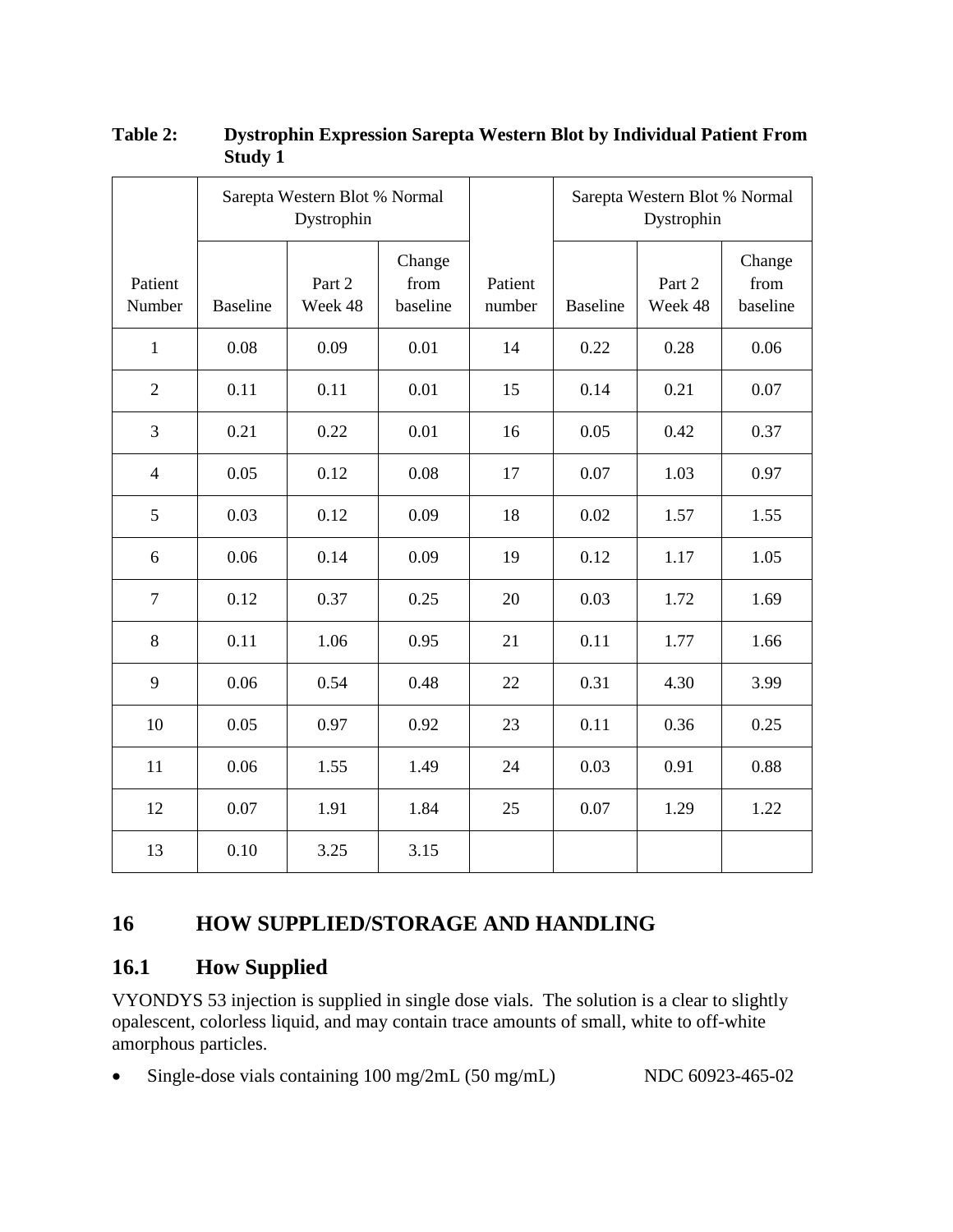|                   | Sarepta Western Blot % Normal<br>Dystrophin |                   |                            |                   |                 | Sarepta Western Blot % Normal<br>Dystrophin |                            |  |
|-------------------|---------------------------------------------|-------------------|----------------------------|-------------------|-----------------|---------------------------------------------|----------------------------|--|
| Patient<br>Number | <b>Baseline</b>                             | Part 2<br>Week 48 | Change<br>from<br>baseline | Patient<br>number | <b>Baseline</b> | Part 2<br>Week 48                           | Change<br>from<br>baseline |  |
| $\mathbf{1}$      | 0.08                                        | 0.09              | 0.01                       | 14                | 0.22            | 0.28                                        | 0.06                       |  |
| $\overline{2}$    | 0.11                                        | 0.11              | 0.01                       | 15                | 0.14            | 0.21                                        | 0.07                       |  |
| 3                 | 0.21                                        | 0.22              | 0.01                       | 16                | 0.05            | 0.42                                        | 0.37                       |  |
| $\overline{4}$    | 0.05                                        | 0.12              | 0.08                       | 17                | 0.07            | 1.03                                        | 0.97                       |  |
| 5                 | 0.03                                        | 0.12              | 0.09                       | 18                | 0.02            | 1.57                                        | 1.55                       |  |
| 6                 | 0.06                                        | 0.14              | 0.09                       | 19                | 0.12            | 1.17                                        | 1.05                       |  |
| $\tau$            | 0.12                                        | 0.37              | 0.25                       | 20                | 0.03            | 1.72                                        | 1.69                       |  |
| 8                 | 0.11                                        | 1.06              | 0.95                       | 21                | 0.11            | 1.77                                        | 1.66                       |  |
| 9                 | 0.06                                        | 0.54              | 0.48                       | 22                | 0.31            | 4.30                                        | 3.99                       |  |
| 10                | 0.05                                        | 0.97              | 0.92                       | 23                | 0.11            | 0.36                                        | 0.25                       |  |
| 11                | 0.06                                        | 1.55              | 1.49                       | 24                | 0.03            | 0.91                                        | 0.88                       |  |
| 12                | 0.07                                        | 1.91              | 1.84                       | 25                | 0.07            | 1.29                                        | 1.22                       |  |
| 13                | 0.10                                        | 3.25              | 3.15                       |                   |                 |                                             |                            |  |

#### <span id="page-11-2"></span>**Table 2: Dystrophin Expression Sarepta Western Blot by Individual Patient From Study 1**

### <span id="page-11-0"></span>**16 HOW SUPPLIED/STORAGE AND HANDLING**

#### <span id="page-11-1"></span>**16.1 How Supplied**

VYONDYS 53 injection is supplied in single dose vials. The solution is a clear to slightly opalescent, colorless liquid, and may contain trace amounts of small, white to off-white amorphous particles.

• Single-dose vials containing 100 mg/2mL (50 mg/mL) NDC 60923-465-02